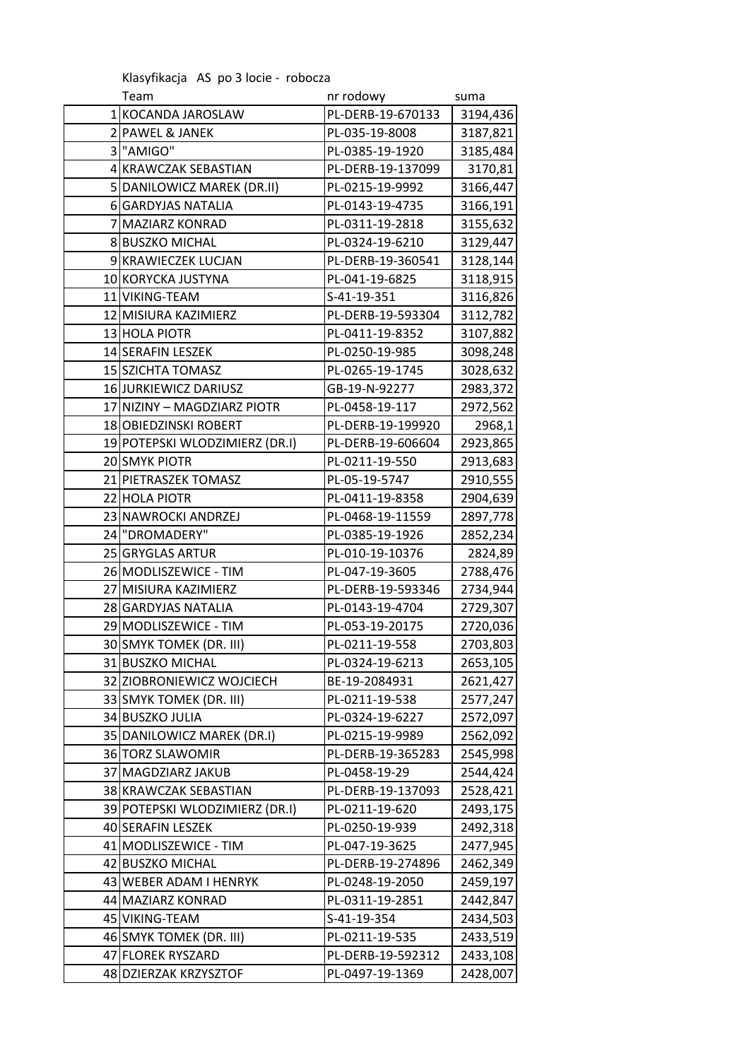Klasyfikacja AS po 3 locie - robocza

| Team                           | nr rodowy         | suma     |
|--------------------------------|-------------------|----------|
| 1 KOCANDA JAROSLAW             | PL-DERB-19-670133 | 3194,436 |
| 2 PAWEL & JANEK                | PL-035-19-8008    | 3187,821 |
| 3 "AMIGO"                      | PL-0385-19-1920   | 3185,484 |
| 4 KRAWCZAK SEBASTIAN           | PL-DERB-19-137099 | 3170,81  |
| 5 DANILOWICZ MAREK (DR.II)     | PL-0215-19-9992   | 3166,447 |
| 6 GARDYJAS NATALIA             | PL-0143-19-4735   | 3166,191 |
| 7 MAZIARZ KONRAD               | PL-0311-19-2818   | 3155,632 |
| 8 BUSZKO MICHAL                | PL-0324-19-6210   | 3129,447 |
| 9 KRAWIECZEK LUCJAN            | PL-DERB-19-360541 | 3128,144 |
| 10 KORYCKA JUSTYNA             | PL-041-19-6825    | 3118,915 |
| 11 VIKING-TEAM                 | S-41-19-351       | 3116,826 |
| 12 MISIURA KAZIMIERZ           | PL-DERB-19-593304 | 3112,782 |
| 13 HOLA PIOTR                  | PL-0411-19-8352   | 3107,882 |
| 14 SERAFIN LESZEK              | PL-0250-19-985    | 3098,248 |
| 15 SZICHTA TOMASZ              | PL-0265-19-1745   | 3028,632 |
| 16 JURKIEWICZ DARIUSZ          | GB-19-N-92277     | 2983,372 |
| 17 NIZINY - MAGDZIARZ PIOTR    | PL-0458-19-117    | 2972,562 |
| 18 OBIEDZINSKI ROBERT          | PL-DERB-19-199920 | 2968,1   |
| 19 POTEPSKI WLODZIMIERZ (DR.I) | PL-DERB-19-606604 | 2923,865 |
| 20 SMYK PIOTR                  | PL-0211-19-550    | 2913,683 |
| 21 PIETRASZEK TOMASZ           | PL-05-19-5747     | 2910,555 |
| 22 HOLA PIOTR                  | PL-0411-19-8358   | 2904,639 |
| 23 NAWROCKI ANDRZEJ            | PL-0468-19-11559  | 2897,778 |
| 24 "DROMADERY"                 | PL-0385-19-1926   | 2852,234 |
| 25 GRYGLAS ARTUR               | PL-010-19-10376   | 2824,89  |
| 26 MODLISZEWICE - TIM          | PL-047-19-3605    | 2788,476 |
| 27 MISIURA KAZIMIERZ           | PL-DERB-19-593346 | 2734,944 |
| 28 GARDYJAS NATALIA            | PL-0143-19-4704   | 2729,307 |
| 29 MODLISZEWICE - TIM          | PL-053-19-20175   | 2720,036 |
| 30 SMYK TOMEK (DR. III)        | PL-0211-19-558    | 2703,803 |
| 31 BUSZKO MICHAL               | PL-0324-19-6213   | 2653,105 |
| 32 ZIOBRONIEWICZ WOJCIECH      | BE-19-2084931     | 2621,427 |
| 33 SMYK TOMEK (DR. III)        | PL-0211-19-538    | 2577,247 |
| 34 BUSZKO JULIA                | PL-0324-19-6227   | 2572,097 |
| 35 DANILOWICZ MAREK (DR.I)     | PL-0215-19-9989   | 2562,092 |
| 36 TORZ SLAWOMIR               | PL-DERB-19-365283 | 2545,998 |
| 37 MAGDZIARZ JAKUB             | PL-0458-19-29     | 2544,424 |
| 38 KRAWCZAK SEBASTIAN          | PL-DERB-19-137093 | 2528,421 |
| 39 POTEPSKI WLODZIMIERZ (DR.I) | PL-0211-19-620    | 2493,175 |
| 40 SERAFIN LESZEK              | PL-0250-19-939    | 2492,318 |
| 41 MODLISZEWICE - TIM          | PL-047-19-3625    | 2477,945 |
| 42 BUSZKO MICHAL               | PL-DERB-19-274896 | 2462,349 |
| 43 WEBER ADAM I HENRYK         | PL-0248-19-2050   | 2459,197 |
| 44 MAZIARZ KONRAD              | PL-0311-19-2851   | 2442,847 |
| 45 VIKING-TEAM                 | S-41-19-354       | 2434,503 |
| 46 SMYK TOMEK (DR. III)        | PL-0211-19-535    | 2433,519 |
| 47 FLOREK RYSZARD              | PL-DERB-19-592312 | 2433,108 |
| 48 DZIERZAK KRZYSZTOF          | PL-0497-19-1369   | 2428,007 |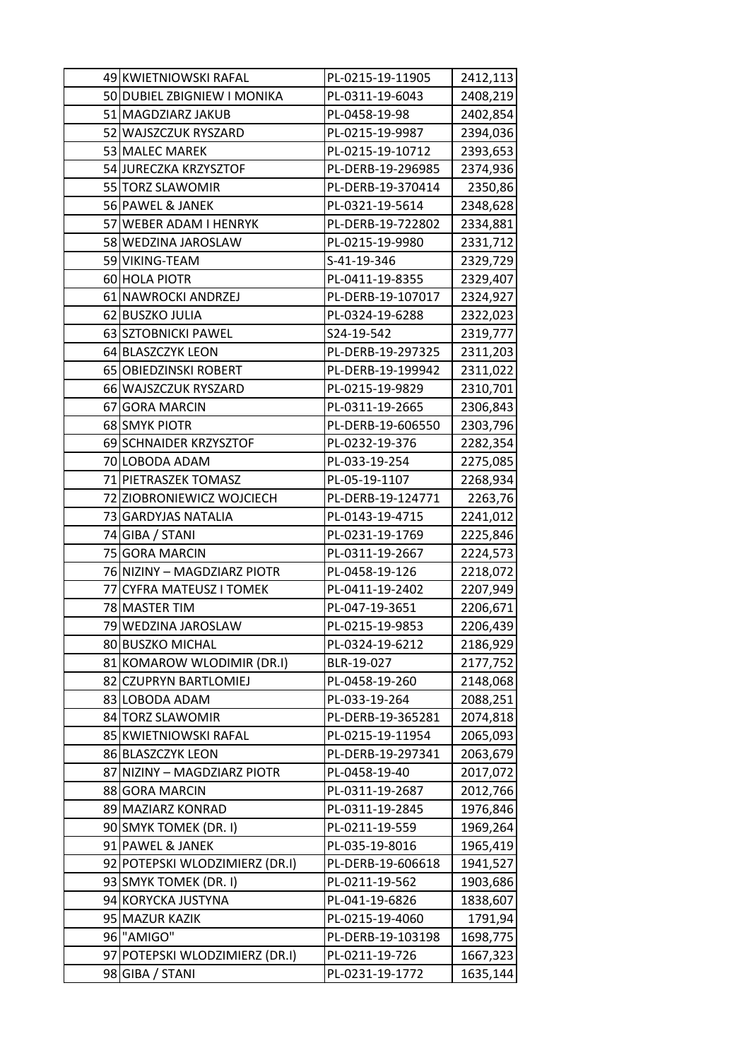| 49 KWIETNIOWSKI RAFAL          | PL-0215-19-11905  | 2412,113 |
|--------------------------------|-------------------|----------|
| 50 DUBIEL ZBIGNIEW I MONIKA    | PL-0311-19-6043   | 2408,219 |
| 51 MAGDZIARZ JAKUB             | PL-0458-19-98     | 2402,854 |
| 52 WAJSZCZUK RYSZARD           | PL-0215-19-9987   | 2394,036 |
| 53 MALEC MAREK                 | PL-0215-19-10712  | 2393,653 |
| 54 JURECZKA KRZYSZTOF          | PL-DERB-19-296985 | 2374,936 |
| 55 TORZ SLAWOMIR               | PL-DERB-19-370414 | 2350,86  |
| 56 PAWEL & JANEK               | PL-0321-19-5614   | 2348,628 |
| 57 WEBER ADAM I HENRYK         | PL-DERB-19-722802 | 2334,881 |
| 58 WEDZINA JAROSLAW            | PL-0215-19-9980   | 2331,712 |
| 59 VIKING-TEAM                 | S-41-19-346       | 2329,729 |
| 60 HOLA PIOTR                  | PL-0411-19-8355   | 2329,407 |
| 61 NAWROCKI ANDRZEJ            | PL-DERB-19-107017 | 2324,927 |
| 62 BUSZKO JULIA                | PL-0324-19-6288   | 2322,023 |
| 63 SZTOBNICKI PAWEL            | S24-19-542        | 2319,777 |
| 64 BLASZCZYK LEON              | PL-DERB-19-297325 | 2311,203 |
| 65 OBIEDZINSKI ROBERT          | PL-DERB-19-199942 | 2311,022 |
| 66 WAJSZCZUK RYSZARD           | PL-0215-19-9829   | 2310,701 |
| 67 GORA MARCIN                 | PL-0311-19-2665   | 2306,843 |
| 68 SMYK PIOTR                  | PL-DERB-19-606550 | 2303,796 |
| 69 SCHNAIDER KRZYSZTOF         | PL-0232-19-376    | 2282,354 |
| 70 LOBODA ADAM                 | PL-033-19-254     | 2275,085 |
| 71 PIETRASZEK TOMASZ           | PL-05-19-1107     | 2268,934 |
| 72 ZIOBRONIEWICZ WOJCIECH      | PL-DERB-19-124771 | 2263,76  |
| 73 GARDYJAS NATALIA            | PL-0143-19-4715   | 2241,012 |
| 74 GIBA / STANI                | PL-0231-19-1769   | 2225,846 |
| 75 GORA MARCIN                 | PL-0311-19-2667   | 2224,573 |
| 76 NIZINY - MAGDZIARZ PIOTR    | PL-0458-19-126    | 2218,072 |
| 77 CYFRA MATEUSZ I TOMEK       | PL-0411-19-2402   | 2207,949 |
| 78 MASTER TIM                  | PL-047-19-3651    | 2206,671 |
| 79 WEDZINA JAROSLAW            | PL-0215-19-9853   | 2206,439 |
| 80 BUSZKO MICHAL               | PL-0324-19-6212   | 2186,929 |
| 81 KOMAROW WLODIMIR (DR.I)     | BLR-19-027        | 2177,752 |
| 82 CZUPRYN BARTLOMIEJ          | PL-0458-19-260    | 2148,068 |
| 83 LOBODA ADAM                 | PL-033-19-264     | 2088,251 |
| 84 TORZ SLAWOMIR               | PL-DERB-19-365281 | 2074,818 |
| 85 KWIETNIOWSKI RAFAL          | PL-0215-19-11954  | 2065,093 |
| 86 BLASZCZYK LEON              | PL-DERB-19-297341 | 2063,679 |
| 87 NIZINY - MAGDZIARZ PIOTR    | PL-0458-19-40     | 2017,072 |
| 88 GORA MARCIN                 | PL-0311-19-2687   | 2012,766 |
| 89 MAZIARZ KONRAD              | PL-0311-19-2845   | 1976,846 |
| 90 SMYK TOMEK (DR. I)          | PL-0211-19-559    | 1969,264 |
| 91 PAWEL & JANEK               | PL-035-19-8016    | 1965,419 |
| 92 POTEPSKI WLODZIMIERZ (DR.I) | PL-DERB-19-606618 | 1941,527 |
| 93 SMYK TOMEK (DR. I)          | PL-0211-19-562    | 1903,686 |
| 94 KORYCKA JUSTYNA             | PL-041-19-6826    | 1838,607 |
| 95 MAZUR KAZIK                 | PL-0215-19-4060   | 1791,94  |
| 96 "AMIGO"                     | PL-DERB-19-103198 | 1698,775 |
| 97 POTEPSKI WLODZIMIERZ (DR.I) | PL-0211-19-726    | 1667,323 |
| 98 GIBA / STANI                | PL-0231-19-1772   | 1635,144 |